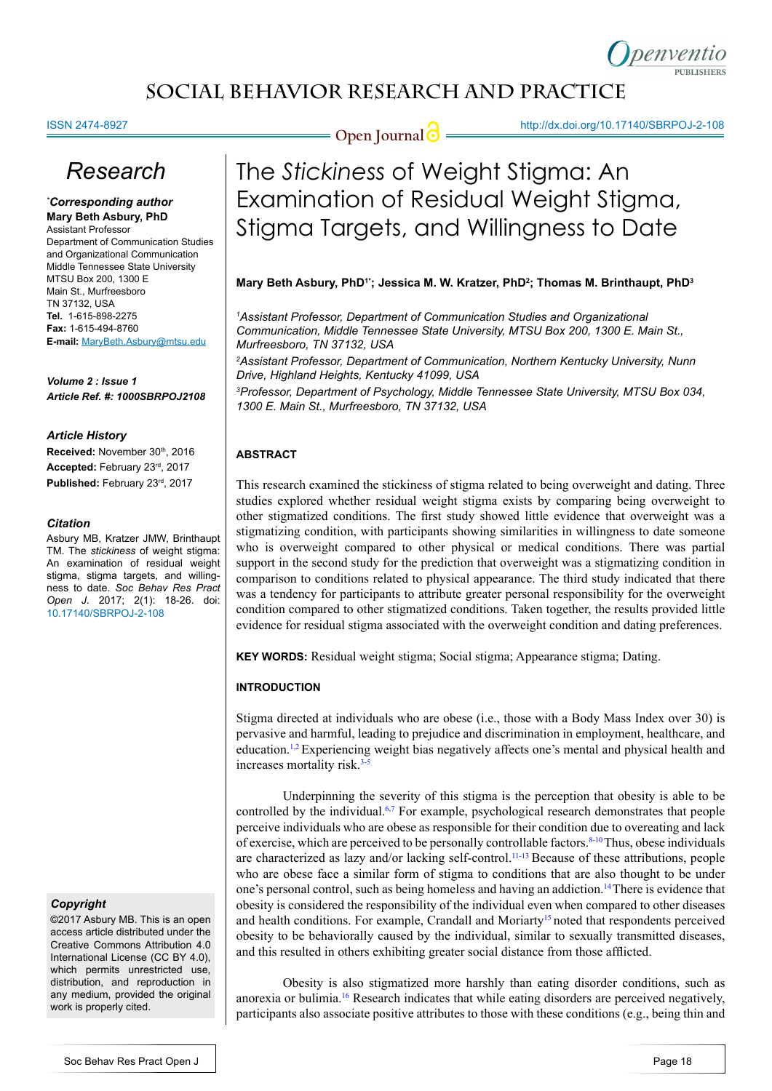

#### ISSN 2474-8927

*Research*

## *\* Corresponding author*

**Mary Beth Asbury, PhD** Assistant Professor Department of Communication Studies and Organizational Communication Middle Tennessee State University MTSU Box 200, 1300 E Main St., Murfreesboro TN 37132, USA **Tel.** 1-615-898-2275 **Fax:** 1-615-494-8760 **E-mail:** MaryBeth.Asbury@mtsu.edu

*Volume 2 : Issue 1 Article Ref. #: 1000SBRPOJ2108*

#### *Article History*

Received: November 30th, 2016 **Accepted:** February 23rd, 2017 Published: February 23rd, 2017

#### *Citation*

Asbury MB, Kratzer JMW, Brinthaupt TM. The *stickiness* of weight stigma: An examination of residual weight stigma, stigma targets, and willingness to date. *Soc Behav Res Pract Open J*. 2017; 2(1): 18-26. doi: 10.17140/SBRPOJ-2-108

### *Copyright*

©2017 Asbury MB. This is an open access article distributed under the Creative Commons Attribution 4.0 International License (CC BY 4.0), which permits unrestricted use, distribution, and reproduction in any medium, provided the original work is properly cited.

**Open Journal O** <u>Community Max.doi.org/10.17140/SBRPOJ-2-108</u>

# The *Stickiness* of Weight Stigma: An Examination of Residual Weight Stigma, Stigma Targets, and Willingness to Date

Mary Beth Asbury, PhD'<sup>•</sup>; Jessica M. W. Kratzer, PhD<sup>2</sup>; Thomas M. Brinthaupt, PhD<sup>3</sup>

<sup>1</sup> Assistant Professor, Department of Communication Studies and Organizational *Communication, Middle Tennessee State University, MTSU Box 200, 1300 E. Main St., Murfreesboro, TN 37132, USA*

*2 Assistant Professor, Department of Communication, Northern Kentucky University, Nunn Drive, Highland Heights, Kentucky 41099, USA*

*3 Professor, Department of Psychology, Middle Tennessee State University, MTSU Box 034, 1300 E. Main St., Murfreesboro, TN 37132, USA*

## **ABSTRACT**

This research examined the stickiness of stigma related to being overweight and dating. Three studies explored whether residual weight stigma exists by comparing being overweight to other stigmatized conditions. The first study showed little evidence that overweight was a stigmatizing condition, with participants showing similarities in willingness to date someone who is overweight compared to other physical or medical conditions. There was partial support in the second study for the prediction that overweight was a stigmatizing condition in comparison to conditions related to physical appearance. The third study indicated that there was a tendency for participants to attribute greater personal responsibility for the overweight condition compared to other stigmatized conditions. Taken together, the results provided little evidence for residual stigma associated with the overweight condition and dating preferences.

**KEY WORDS:** Residual weight stigma; Social stigma; Appearance stigma; Dating.

### **INTRODUCTION**

Stigma directed at individuals who are obese (i.e., those with a Body Mass Index over 30) is pervasive and harmful, leading to prejudice and discrimination in employment, healthcare, and education.<sup>[1,2](#page-7-0)</sup> Experiencing weight bias negatively affects one's mental and physical health and increases mortality risk. $3-5$ 

Underpinning the severity of this stigma is the perception that obesity is able to be controlled by the individual.<sup>6,7</sup> For example, psychological research demonstrates that people perceive individuals who are obese as responsible for their condition due to overeating and lack of exercise, which are perceived to be personally controllable factors.<sup>8-10</sup>Thus, obese individuals are characterized as lazy and/or lacking self-control.[11-13](#page-7-4) Because of these attributions, people who are obese face a similar form of stigma to conditions that are also thought to be under one's personal control, such as being homeless and having an addiction.[14](#page-7-5)There is evidence that obesity is considered the responsibility of the individual even when compared to other diseases and health conditions. For example, Crandall and Moriarty<sup>[15](#page-7-6)</sup> noted that respondents perceived obesity to be behaviorally caused by the individual, similar to sexually transmitted diseases, and this resulted in others exhibiting greater social distance from those afflicted.

Obesity is also stigmatized more harshly than eating disorder conditions, such as anorexia or bulimia.<sup>[16](#page-8-0)</sup> Research indicates that while eating disorders are perceived negatively, participants also associate positive attributes to those with these conditions (e.g., being thin and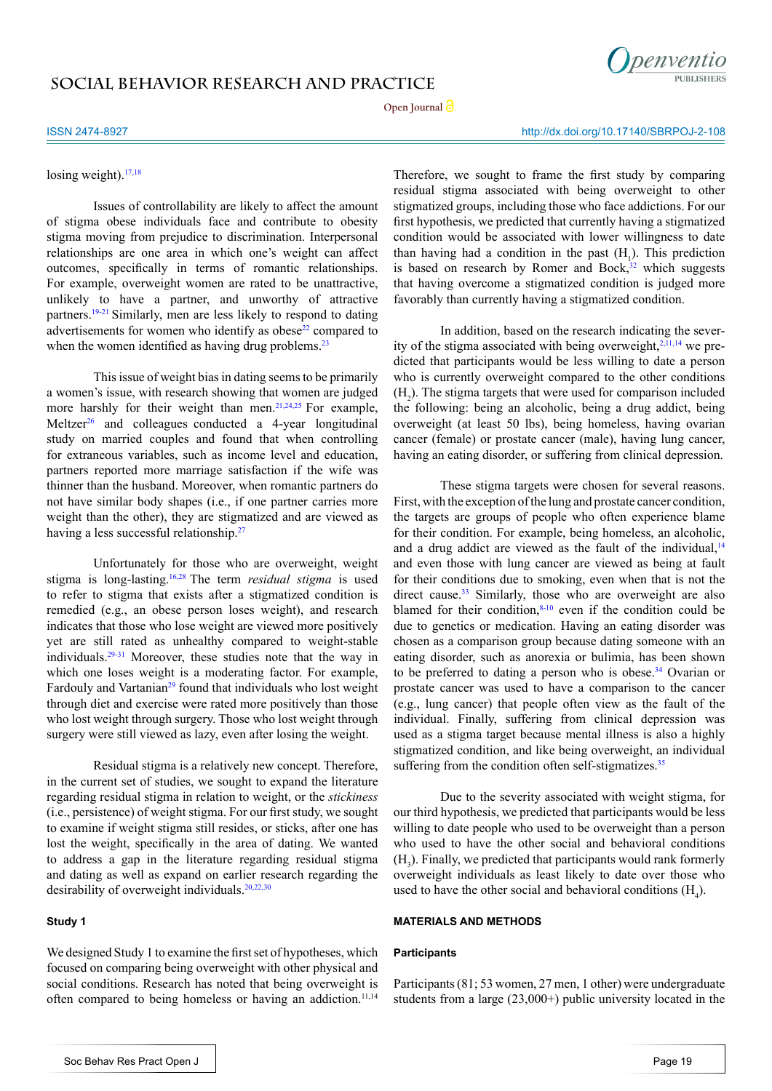

**Open Journal**

### ISSN 2474-8927 http://dx.doi.org/10.17140/SBRPOJ-2-108

#### losing weight). $17,18$

Issues of controllability are likely to affect the amount of stigma obese individuals face and contribute to obesity stigma moving from prejudice to discrimination. Interpersonal relationships are one area in which one's weight can affect outcomes, specifically in terms of romantic relationships. For example, overweight women are rated to be unattractive, unlikely to have a partner, and unworthy of attractive partners.[19-21](#page-8-2) Similarly, men are less likely to respond to dating advertisements for women who identify as obese $22$  compared to when the women identified as having drug problems.<sup>[23](#page-8-4)</sup>

This issue of weight bias in dating seems to be primarily a women's issue, with research showing that women are judged more harshly for their weight than men.<sup>21,24,25</sup> For example, Meltzer<sup>26</sup> and colleagues conducted a 4-year longitudinal study on married couples and found that when controlling for extraneous variables, such as income level and education, partners reported more marriage satisfaction if the wife was thinner than the husband. Moreover, when romantic partners do not have similar body shapes (i.e., if one partner carries more weight than the other), they are stigmatized and are viewed as having a less successful relationship[.27](#page-8-7)

Unfortunately for those who are overweight, weight stigma is long-lasting[.16,28](#page-8-0) The term *residual stigma* is used to refer to stigma that exists after a stigmatized condition is remedied (e.g., an obese person loses weight), and research indicates that those who lose weight are viewed more positively yet are still rated as unhealthy compared to weight-stable individuals.[29-31](#page-8-8) Moreover, these studies note that the way in which one loses weight is a moderating factor. For example, Fardouly and Vartanian<sup>[29](#page-8-8)</sup> found that individuals who lost weight through diet and exercise were rated more positively than those who lost weight through surgery. Those who lost weight through surgery were still viewed as lazy, even after losing the weight.

Residual stigma is a relatively new concept. Therefore, in the current set of studies, we sought to expand the literature regarding residual stigma in relation to weight, or the *stickiness*  (i.e., persistence) of weight stigma. For our first study, we sought to examine if weight stigma still resides, or sticks, after one has lost the weight, specifically in the area of dating. We wanted to address a gap in the literature regarding residual stigma and dating as well as expand on earlier research regarding the desirability of overweight individuals.<sup>[20,22,30](#page-8-9)</sup>

#### **Study 1**

We designed Study 1 to examine the first set of hypotheses, which focused on comparing being overweight with other physical and social conditions. Research has noted that being overweight is often compared to being homeless or having an addiction.<sup>11,14</sup> Therefore, we sought to frame the first study by comparing residual stigma associated with being overweight to other stigmatized groups, including those who face addictions. For our first hypothesis, we predicted that currently having a stigmatized condition would be associated with lower willingness to date than having had a condition in the past  $(H_1)$ . This prediction is based on research by Romer and Bock, $32$  which suggests that having overcome a stigmatized condition is judged more favorably than currently having a stigmatized condition.

In addition, based on the research indicating the severity of the stigma associated with being overweight,  $2,11,14$  $2,11,14$  $2,11,14$  we predicted that participants would be less willing to date a person who is currently overweight compared to the other conditions  $(H<sub>2</sub>)$ . The stigma targets that were used for comparison included the following: being an alcoholic, being a drug addict, being overweight (at least 50 lbs), being homeless, having ovarian cancer (female) or prostate cancer (male), having lung cancer, having an eating disorder, or suffering from clinical depression.

These stigma targets were chosen for several reasons. First, with the exception of the lung and prostate cancer condition, the targets are groups of people who often experience blame for their condition. For example, being homeless, an alcoholic, and a drug addict are viewed as the fault of the individual, $14$ and even those with lung cancer are viewed as being at fault for their conditions due to smoking, even when that is not the direct cause.<sup>33</sup> Similarly, those who are overweight are also blamed for their condition, $8-10$  even if the condition could be due to genetics or medication. Having an eating disorder was chosen as a comparison group because dating someone with an eating disorder, such as anorexia or bulimia, has been shown to be preferred to dating a person who is obese. $34$  Ovarian or prostate cancer was used to have a comparison to the cancer (e.g., lung cancer) that people often view as the fault of the individual. Finally, suffering from clinical depression was used as a stigma target because mental illness is also a highly stigmatized condition, and like being overweight, an individual suffering from the condition often self-stigmatizes. $35$ 

Due to the severity associated with weight stigma, for our third hypothesis, we predicted that participants would be less willing to date people who used to be overweight than a person who used to have the other social and behavioral conditions  $(H_3)$ . Finally, we predicted that participants would rank formerly overweight individuals as least likely to date over those who used to have the other social and behavioral conditions  $(H_4)$ .

#### **MATERIALS AND METHODS**

#### **Participants**

Participants (81; 53 women, 27 men, 1 other) were undergraduate students from a large (23,000+) public university located in the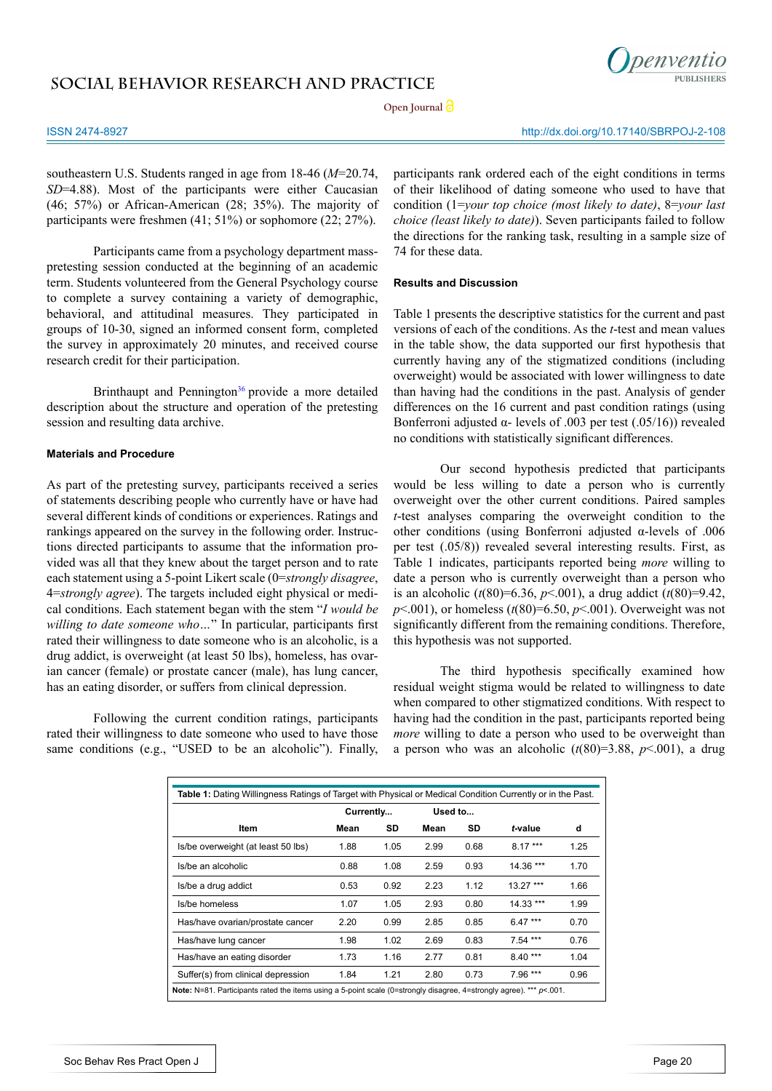

**Open Journal**

ISSN 2474-8927 http://dx.doi.org/10.17140/SBRPOJ-2-108

southeastern U.S. Students ranged in age from 18-46 (*M*=20.74, *SD*=4.88). Most of the participants were either Caucasian (46; 57%) or African-American (28; 35%). The majority of participants were freshmen (41; 51%) or sophomore (22; 27%).

Participants came from a psychology department masspretesting session conducted at the beginning of an academic term. Students volunteered from the General Psychology course to complete a survey containing a variety of demographic, behavioral, and attitudinal measures. They participated in groups of 10-30, signed an informed consent form, completed the survey in approximately 20 minutes, and received course research credit for their participation.

Brinthaupt and Pennington<sup>36</sup> provide a more detailed description about the structure and operation of the pretesting session and resulting data archive.

#### **Materials and Procedure**

As part of the pretesting survey, participants received a series of statements describing people who currently have or have had several different kinds of conditions or experiences. Ratings and rankings appeared on the survey in the following order. Instructions directed participants to assume that the information provided was all that they knew about the target person and to rate each statement using a 5-point Likert scale (0=*strongly disagree*, 4=*strongly agree*). The targets included eight physical or medical conditions. Each statement began with the stem "*I would be willing to date someone who…*" In particular, participants first rated their willingness to date someone who is an alcoholic, is a drug addict, is overweight (at least 50 lbs), homeless, has ovarian cancer (female) or prostate cancer (male), has lung cancer, has an eating disorder, or suffers from clinical depression.

Following the current condition ratings, participants rated their willingness to date someone who used to have those same conditions (e.g., "USED to be an alcoholic"). Finally, participants rank ordered each of the eight conditions in terms of their likelihood of dating someone who used to have that condition (1=*your top choice (most likely to date)*, 8=*your last choice (least likely to date)*). Seven participants failed to follow the directions for the ranking task, resulting in a sample size of 74 for these data.

#### **Results and Discussion**

Table 1 presents the descriptive statistics for the current and past versions of each of the conditions. As the *t*-test and mean values in the table show, the data supported our first hypothesis that currently having any of the stigmatized conditions (including overweight) would be associated with lower willingness to date than having had the conditions in the past. Analysis of gender differences on the 16 current and past condition ratings (using Bonferroni adjusted  $\alpha$ - levels of .003 per test (.05/16)) revealed no conditions with statistically significant differences.

Our second hypothesis predicted that participants would be less willing to date a person who is currently overweight over the other current conditions. Paired samples *t*-test analyses comparing the overweight condition to the other conditions (using Bonferroni adjusted α-levels of .006 per test (.05/8)) revealed several interesting results. First, as Table 1 indicates, participants reported being *more* willing to date a person who is currently overweight than a person who is an alcoholic  $(t(80)=6.36, p<.001)$ , a drug addict  $(t(80)=9.42,$ *p*<.001), or homeless (*t*(80)=6.50, *p*<.001). Overweight was not significantly different from the remaining conditions. Therefore, this hypothesis was not supported.

The third hypothesis specifically examined how residual weight stigma would be related to willingness to date when compared to other stigmatized conditions. With respect to having had the condition in the past, participants reported being *more* willing to date a person who used to be overweight than a person who was an alcoholic  $(t(80)=3.88, p<.001)$ , a drug

| Item                               | Currently |      | Used to |      |            |      |
|------------------------------------|-----------|------|---------|------|------------|------|
|                                    | Mean      | SD   | Mean    | SD   | t-value    | d    |
| Is/be overweight (at least 50 lbs) | 1.88      | 1.05 | 2.99    | 0.68 | $8.17***$  | 1.25 |
| Is/be an alcoholic                 | 0.88      | 1.08 | 2.59    | 0.93 | 14.36 ***  | 1.70 |
| Is/be a drug addict                | 0.53      | 0.92 | 2.23    | 1.12 | $13.27***$ | 1.66 |
| Is/be homeless                     | 1.07      | 1.05 | 2.93    | 0.80 | 14.33 ***  | 1.99 |
| Has/have ovarian/prostate cancer   | 2.20      | 0.99 | 2.85    | 0.85 | $6.47***$  | 0.70 |
| Has/have lung cancer               | 1.98      | 1.02 | 2.69    | 0.83 | $7.54***$  | 0.76 |
| Has/have an eating disorder        | 1.73      | 1.16 | 2.77    | 0.81 | $8.40***$  | 1.04 |
| Suffer(s) from clinical depression | 1.84      | 1.21 | 2.80    | 0.73 | 7.96 ***   | 0.96 |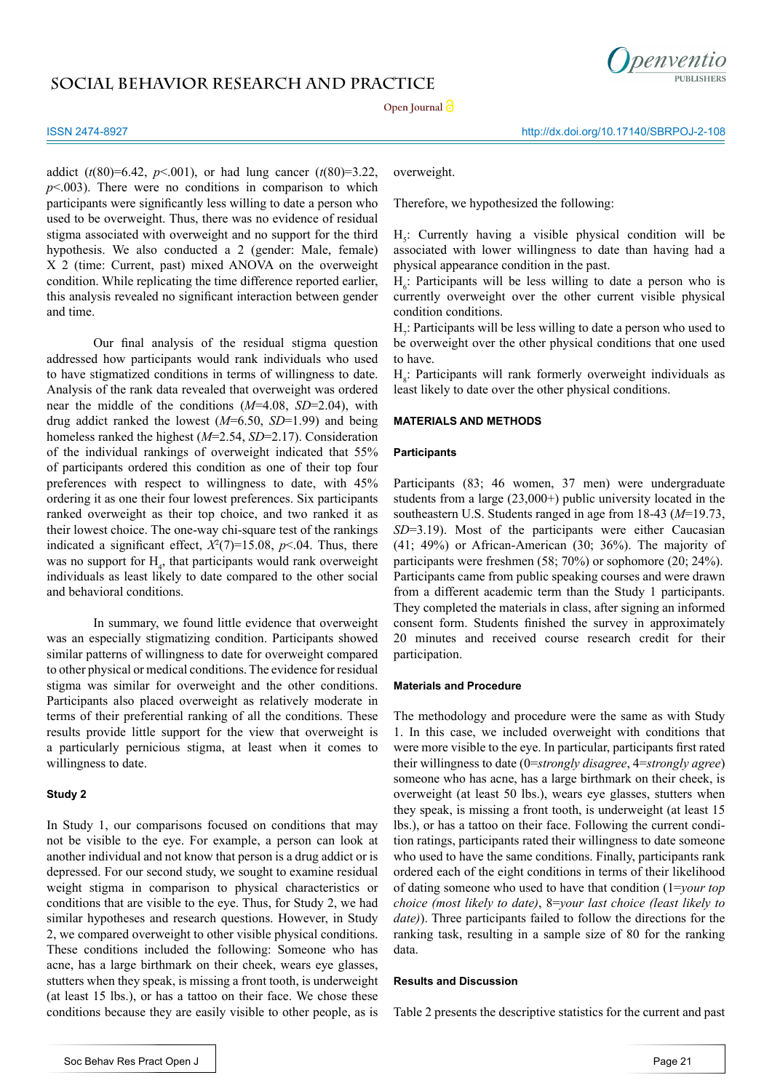

**Open Journal**

ISSN 2474-8927 http://dx.doi.org/10.17140/SBRPOJ-2-108

addict ( $t(80)=6.42$ ,  $p<0.01$ ), or had lung cancer ( $t(80)=3.22$ ,  $p$ <.003). There were no conditions in comparison to which participants were significantly less willing to date a person who used to be overweight. Thus, there was no evidence of residual stigma associated with overweight and no support for the third hypothesis. We also conducted a 2 (gender: Male, female) X 2 (time: Current, past) mixed ANOVA on the overweight condition. While replicating the time difference reported earlier, this analysis revealed no significant interaction between gender and time.

Our final analysis of the residual stigma question addressed how participants would rank individuals who used to have stigmatized conditions in terms of willingness to date. Analysis of the rank data revealed that overweight was ordered near the middle of the conditions (*M*=4.08, *SD*=2.04), with drug addict ranked the lowest (*M*=6.50, *SD*=1.99) and being homeless ranked the highest (*M*=2.54, *SD*=2.17). Consideration of the individual rankings of overweight indicated that 55% of participants ordered this condition as one of their top four preferences with respect to willingness to date, with 45% ordering it as one their four lowest preferences. Six participants ranked overweight as their top choice, and two ranked it as their lowest choice. The one-way chi-square test of the rankings indicated a significant effect,  $X^2(7)=15.08$ ,  $p<.04$ . Thus, there was no support for  $H_4$ , that participants would rank overweight individuals as least likely to date compared to the other social and behavioral conditions.

In summary, we found little evidence that overweight was an especially stigmatizing condition. Participants showed similar patterns of willingness to date for overweight compared to other physical or medical conditions. The evidence for residual stigma was similar for overweight and the other conditions. Participants also placed overweight as relatively moderate in terms of their preferential ranking of all the conditions. These results provide little support for the view that overweight is a particularly pernicious stigma, at least when it comes to willingness to date.

#### **Study 2**

In Study 1, our comparisons focused on conditions that may not be visible to the eye. For example, a person can look at another individual and not know that person is a drug addict or is depressed. For our second study, we sought to examine residual weight stigma in comparison to physical characteristics or conditions that are visible to the eye. Thus, for Study 2, we had similar hypotheses and research questions. However, in Study 2, we compared overweight to other visible physical conditions. These conditions included the following: Someone who has acne, has a large birthmark on their cheek, wears eye glasses, stutters when they speak, is missing a front tooth, is underweight (at least 15 lbs.), or has a tattoo on their face. We chose these conditions because they are easily visible to other people, as is overweight.

Therefore, we hypothesized the following:

 $H_s$ : Currently having a visible physical condition will be associated with lower willingness to date than having had a physical appearance condition in the past.

 $H_6$ : Participants will be less willing to date a person who is currently overweight over the other current visible physical condition conditions.

 $H_7$ : Participants will be less willing to date a person who used to be overweight over the other physical conditions that one used to have.

 $H<sub>g</sub>$ : Participants will rank formerly overweight individuals as least likely to date over the other physical conditions.

#### **MATERIALS AND METHODS**

#### **Participants**

Participants (83; 46 women, 37 men) were undergraduate students from a large (23,000+) public university located in the southeastern U.S. Students ranged in age from 18-43 (*M*=19.73, *SD*=3.19). Most of the participants were either Caucasian (41; 49%) or African-American (30; 36%). The majority of participants were freshmen (58; 70%) or sophomore (20; 24%). Participants came from public speaking courses and were drawn from a different academic term than the Study 1 participants. They completed the materials in class, after signing an informed consent form. Students finished the survey in approximately 20 minutes and received course research credit for their participation.

#### **Materials and Procedure**

The methodology and procedure were the same as with Study 1. In this case, we included overweight with conditions that were more visible to the eye. In particular, participants first rated their willingness to date (0=*strongly disagree*, 4=*strongly agree*) someone who has acne, has a large birthmark on their cheek, is overweight (at least 50 lbs.), wears eye glasses, stutters when they speak, is missing a front tooth, is underweight (at least 15 lbs.), or has a tattoo on their face. Following the current condition ratings, participants rated their willingness to date someone who used to have the same conditions. Finally, participants rank ordered each of the eight conditions in terms of their likelihood of dating someone who used to have that condition (1=*your top choice (most likely to date)*, 8=*your last choice (least likely to date)*). Three participants failed to follow the directions for the ranking task, resulting in a sample size of 80 for the ranking data.

#### **Results and Discussion**

Table 2 presents the descriptive statistics for the current and past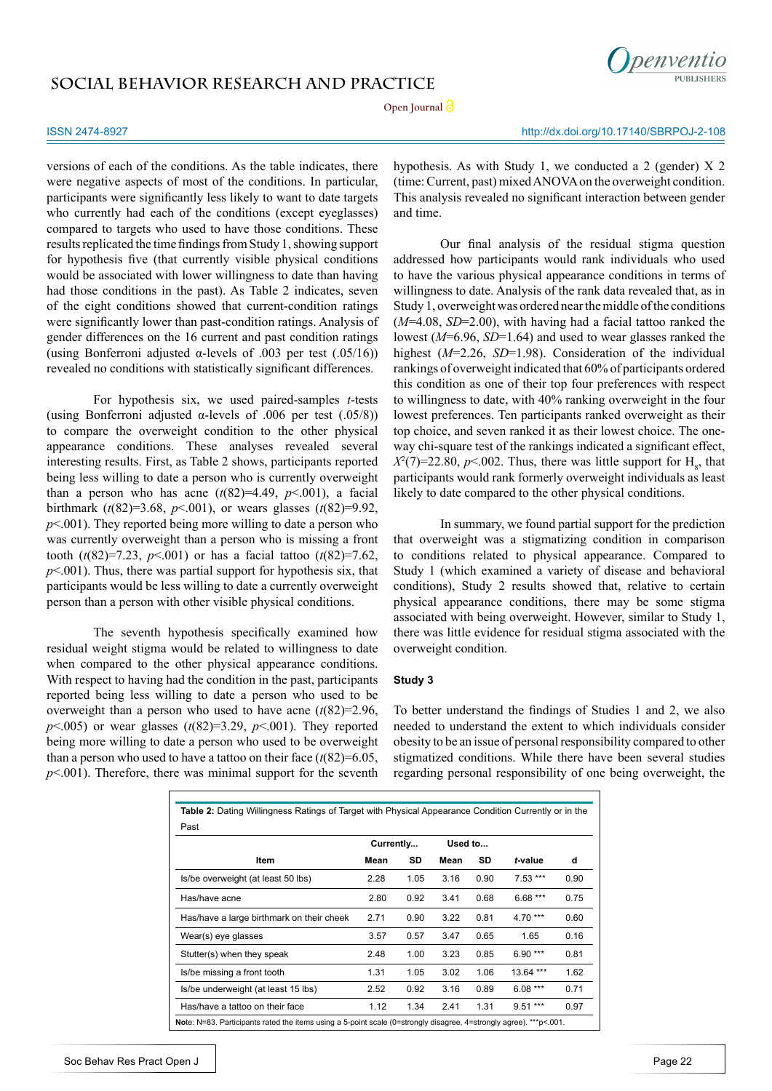

**Open Journal**

#### ISSN 2474-8927 http://dx.doi.org/10.17140/SBRPOJ-2-108

versions of each of the conditions. As the table indicates, there were negative aspects of most of the conditions. In particular, participants were significantly less likely to want to date targets who currently had each of the conditions (except eyeglasses) compared to targets who used to have those conditions. These results replicated the time findings from Study 1, showing support for hypothesis five (that currently visible physical conditions would be associated with lower willingness to date than having had those conditions in the past). As Table 2 indicates, seven of the eight conditions showed that current-condition ratings were significantly lower than past-condition ratings. Analysis of gender differences on the 16 current and past condition ratings (using Bonferroni adjusted  $\alpha$ -levels of .003 per test (.05/16)) revealed no conditions with statistically significant differences.

For hypothesis six, we used paired-samples *t*-tests (using Bonferroni adjusted  $\alpha$ -levels of .006 per test (.05/8)) to compare the overweight condition to the other physical appearance conditions. These analyses revealed several interesting results. First, as Table 2 shows, participants reported being less willing to date a person who is currently overweight than a person who has acne  $(t(82)=4.49, p<.001)$ , a facial birthmark (*t*(82)=3.68, *p*<.001), or wears glasses (*t*(82)=9.92,  $p<.001$ ). They reported being more willing to date a person who was currently overweight than a person who is missing a front tooth (*t*(82)=7.23, *p*<.001) or has a facial tattoo (*t*(82)=7.62,  $p<.001$ ). Thus, there was partial support for hypothesis six, that participants would be less willing to date a currently overweight person than a person with other visible physical conditions.

The seventh hypothesis specifically examined how residual weight stigma would be related to willingness to date when compared to the other physical appearance conditions. With respect to having had the condition in the past, participants reported being less willing to date a person who used to be overweight than a person who used to have acne  $(t(82)=2.96)$ , *p*<.005) or wear glasses (*t*(82)=3.29, *p*<.001). They reported being more willing to date a person who used to be overweight than a person who used to have a tattoo on their face  $(t(82)=6.05)$ ,  $p<.001$ ). Therefore, there was minimal support for the seventh

hypothesis. As with Study 1, we conducted a 2 (gender) X 2 (time: Current, past) mixed ANOVA on the overweight condition. This analysis revealed no significant interaction between gender and time.

Our final analysis of the residual stigma question addressed how participants would rank individuals who used to have the various physical appearance conditions in terms of willingness to date. Analysis of the rank data revealed that, as in Study 1, overweight was ordered near the middle of the conditions (*M*=4.08, *SD*=2.00), with having had a facial tattoo ranked the lowest (*M*=6.96, *SD*=1.64) and used to wear glasses ranked the highest (*M*=2.26, *SD*=1.98). Consideration of the individual rankings of overweight indicated that 60% of participants ordered this condition as one of their top four preferences with respect to willingness to date, with 40% ranking overweight in the four lowest preferences. Ten participants ranked overweight as their top choice, and seven ranked it as their lowest choice. The oneway chi-square test of the rankings indicated a significant effect,  $X^2(7)=22.80, p<0.002$ . Thus, there was little support for H<sub>8</sub>, that participants would rank formerly overweight individuals as least likely to date compared to the other physical conditions.

In summary, we found partial support for the prediction that overweight was a stigmatizing condition in comparison to conditions related to physical appearance. Compared to Study 1 (which examined a variety of disease and behavioral conditions), Study 2 results showed that, relative to certain physical appearance conditions, there may be some stigma associated with being overweight. However, similar to Study 1, there was little evidence for residual stigma associated with the overweight condition.

#### **Study 3**

To better understand the findings of Studies 1 and 2, we also needed to understand the extent to which individuals consider obesity to be an issue of personal responsibility compared to other stigmatized conditions. While there have been several studies regarding personal responsibility of one being overweight, the

| ltem                                      | Currently |      | Used to |      |           |      |
|-------------------------------------------|-----------|------|---------|------|-----------|------|
|                                           | Mean      | SD   | Mean    | SD   | t-value   | d    |
| Is/be overweight (at least 50 lbs)        | 2.28      | 1.05 | 3.16    | 0.90 | $7.53***$ | 0.90 |
| Has/have acne                             | 2.80      | 0.92 | 3.41    | 0.68 | $6.68***$ | 0.75 |
| Has/have a large birthmark on their cheek | 2.71      | 0.90 | 3.22    | 0.81 | $4.70***$ | 0.60 |
| Wear(s) eye glasses                       | 3.57      | 0.57 | 3.47    | 0.65 | 1.65      | 0.16 |
| Stutter(s) when they speak                | 2.48      | 1.00 | 3.23    | 0.85 | $6.90***$ | 0.81 |
| Is/be missing a front tooth               | 1.31      | 1.05 | 3.02    | 1.06 | 13.64 *** | 1.62 |
| Is/be underweight (at least 15 lbs)       | 2.52      | 0.92 | 3.16    | 0.89 | $6.08***$ | 0.71 |
| Has/have a tattoo on their face           | 1.12      | 1.34 | 2.41    | 1.31 | $9.51***$ | 0.97 |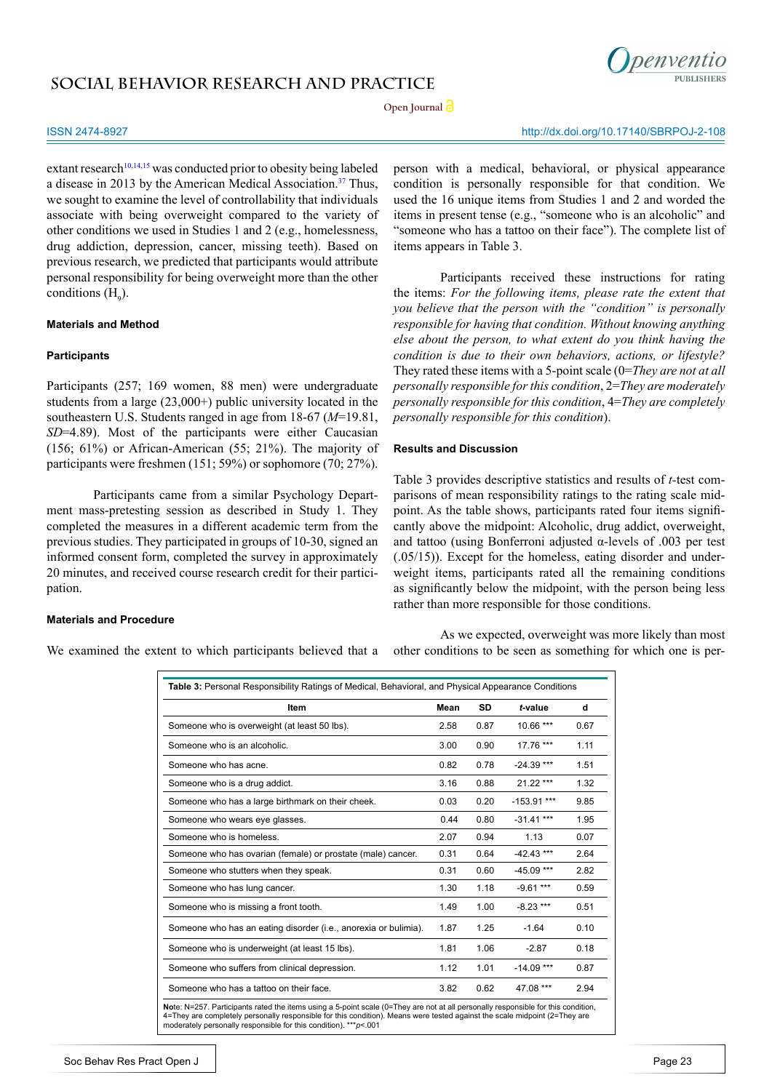

**Open Journal**

### ISSN 2474-8927 http://dx.doi.org/10.17140/SBRPOJ-2-108

extant research<sup>10,14,15</sup> was conducted prior to obesity being labeled a disease in 2013 by the American Medical Association.<sup>37</sup> Thus, we sought to examine the level of controllability that individuals associate with being overweight compared to the variety of other conditions we used in Studies 1 and 2 (e.g., homelessness, drug addiction, depression, cancer, missing teeth). Based on previous research, we predicted that participants would attribute personal responsibility for being overweight more than the other conditions  $(H<sub>9</sub>)$ .

#### **Materials and Method**

#### **Participants**

Participants (257; 169 women, 88 men) were undergraduate students from a large (23,000+) public university located in the southeastern U.S. Students ranged in age from 18-67 (*M*=19.81, *SD*=4.89). Most of the participants were either Caucasian (156; 61%) or African-American (55; 21%). The majority of participants were freshmen (151; 59%) or sophomore (70; 27%).

Participants came from a similar Psychology Department mass-pretesting session as described in Study 1. They completed the measures in a different academic term from the previous studies. They participated in groups of 10-30, signed an informed consent form, completed the survey in approximately 20 minutes, and received course research credit for their participation.

### **Materials and Procedure**

We examined the extent to which participants believed that a

person with a medical, behavioral, or physical appearance condition is personally responsible for that condition. We used the 16 unique items from Studies 1 and 2 and worded the items in present tense (e.g., "someone who is an alcoholic" and "someone who has a tattoo on their face"). The complete list of items appears in Table 3.

Participants received these instructions for rating the items: *For the following items, please rate the extent that you believe that the person with the "condition" is personally responsible for having that condition. Without knowing anything else about the person, to what extent do you think having the condition is due to their own behaviors, actions, or lifestyle?*  They rated these items with a 5-point scale (0=*They are not at all personally responsible for this condition*, 2=*They are moderately personally responsible for this condition*, 4=*They are completely personally responsible for this condition*).

### **Results and Discussion**

Table 3 provides descriptive statistics and results of *t-*test comparisons of mean responsibility ratings to the rating scale midpoint. As the table shows, participants rated four items significantly above the midpoint: Alcoholic, drug addict, overweight, and tattoo (using Bonferroni adjusted  $\alpha$ -levels of .003 per test (.05/15)). Except for the homeless, eating disorder and underweight items, participants rated all the remaining conditions as significantly below the midpoint, with the person being less rather than more responsible for those conditions.

As we expected, overweight was more likely than most other conditions to be seen as something for which one is per-

| Item                                                            |      | <b>SD</b> | t-value       | d    |
|-----------------------------------------------------------------|------|-----------|---------------|------|
| Someone who is overweight (at least 50 lbs).                    | 2.58 | 0.87      | 10.66 ***     | 0.67 |
| Someone who is an alcoholic.                                    | 3.00 | 0.90      | 17.76 ***     | 1.11 |
| Someone who has acne.                                           | 0.82 | 0.78      | $-24.39$ ***  | 1.51 |
| Someone who is a drug addict.                                   | 3.16 | 0.88      | 21.22 ***     | 1.32 |
| Someone who has a large birthmark on their cheek.               | 0.03 | 0.20      | $-153.91$ *** | 9.85 |
| Someone who wears eye glasses.                                  | 0.44 | 0.80      | $-31.41$ ***  | 1.95 |
| Someone who is homeless.                                        | 2.07 | 0.94      | 1.13          | 0.07 |
| Someone who has ovarian (female) or prostate (male) cancer.     | 0.31 | 0.64      | $-42.43$ ***  | 2.64 |
| Someone who stutters when they speak.                           | 0.31 | 0.60      | $-45.09$ ***  | 2.82 |
| Someone who has lung cancer.                                    | 1.30 | 1.18      | $-9.61$ ***   | 0.59 |
| Someone who is missing a front tooth.                           | 1.49 | 1.00      | $-8.23$ ***   | 0.51 |
| Someone who has an eating disorder (i.e., anorexia or bulimia). | 1.87 | 1.25      | $-1.64$       | 0.10 |
| Someone who is underweight (at least 15 lbs).                   | 1.81 | 1.06      | $-2.87$       | 0.18 |
| Someone who suffers from clinical depression.                   | 1.12 | 1.01      | $-14.09$ ***  | 0.87 |
| Someone who has a tattoo on their face.                         | 3.82 | 0.62      | 47.08 ***     | 2.94 |

moderately personally responsible for this condition). \*\*\**p*<.001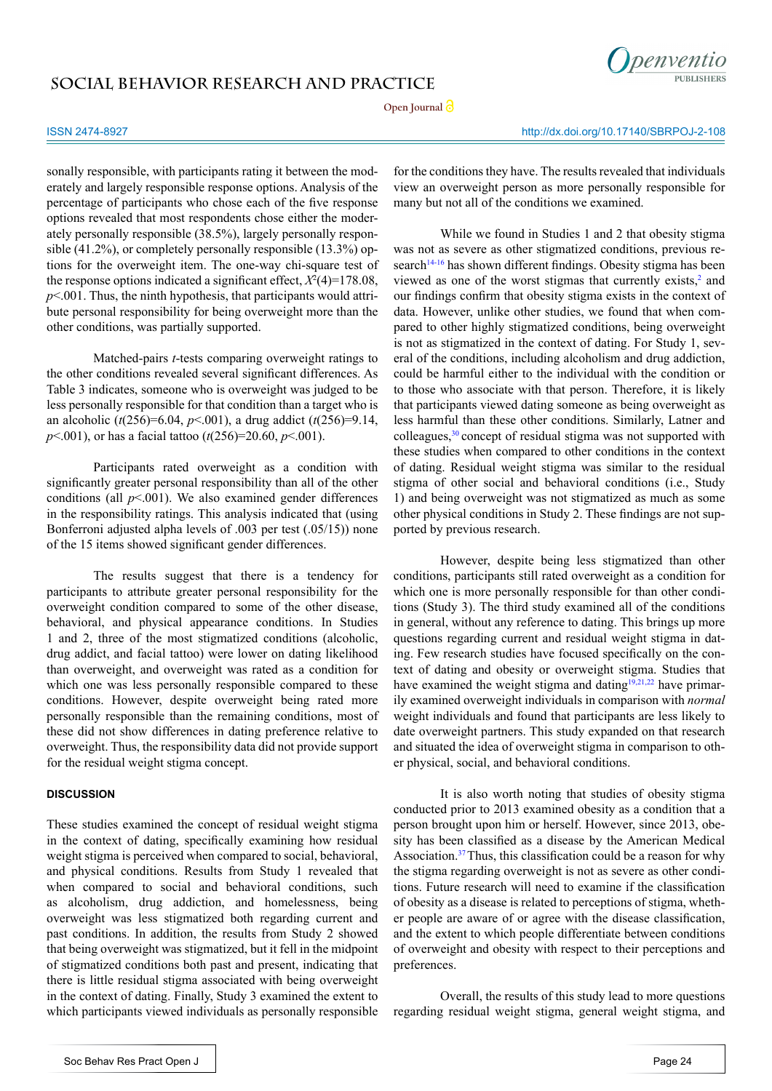



ISSN 2474-8927 http://dx.doi.org/10.17140/SBRPOJ-2-108

sonally responsible, with participants rating it between the moderately and largely responsible response options. Analysis of the percentage of participants who chose each of the five response options revealed that most respondents chose either the moderately personally responsible (38.5%), largely personally responsible (41.2%), or completely personally responsible (13.3%) options for the overweight item. The one-way chi-square test of the response options indicated a significant effect,  $X^2(4)=178.08$ , *p*<.001. Thus, the ninth hypothesis, that participants would attribute personal responsibility for being overweight more than the other conditions, was partially supported.

Matched-pairs *t*-tests comparing overweight ratings to the other conditions revealed several significant differences. As Table 3 indicates, someone who is overweight was judged to be less personally responsible for that condition than a target who is an alcoholic (*t*(256)=6.04, *p*<.001), a drug addict (*t*(256)=9.14, *p*<.001), or has a facial tattoo (*t*(256)=20.60, *p*<.001).

Participants rated overweight as a condition with significantly greater personal responsibility than all of the other conditions (all  $p<.001$ ). We also examined gender differences in the responsibility ratings. This analysis indicated that (using Bonferroni adjusted alpha levels of .003 per test (.05/15)) none of the 15 items showed significant gender differences.

The results suggest that there is a tendency for participants to attribute greater personal responsibility for the overweight condition compared to some of the other disease, behavioral, and physical appearance conditions. In Studies 1 and 2, three of the most stigmatized conditions (alcoholic, drug addict, and facial tattoo) were lower on dating likelihood than overweight, and overweight was rated as a condition for which one was less personally responsible compared to these conditions. However, despite overweight being rated more personally responsible than the remaining conditions, most of these did not show differences in dating preference relative to overweight. Thus, the responsibility data did not provide support for the residual weight stigma concept.

#### **DISCUSSION**

These studies examined the concept of residual weight stigma in the context of dating, specifically examining how residual weight stigma is perceived when compared to social, behavioral, and physical conditions. Results from Study 1 revealed that when compared to social and behavioral conditions, such as alcoholism, drug addiction, and homelessness, being overweight was less stigmatized both regarding current and past conditions. In addition, the results from Study 2 showed that being overweight was stigmatized, but it fell in the midpoint of stigmatized conditions both past and present, indicating that there is little residual stigma associated with being overweight in the context of dating. Finally, Study 3 examined the extent to which participants viewed individuals as personally responsible for the conditions they have. The results revealed that individuals view an overweight person as more personally responsible for many but not all of the conditions we examined.

While we found in Studies 1 and 2 that obesity stigma was not as severe as other stigmatized conditions, previous research<sup>14-16</sup> has shown different findings. Obesity stigma has been viewed as one of the worst stigmas that currently exists, $2$  and our findings confirm that obesity stigma exists in the context of data. However, unlike other studies, we found that when compared to other highly stigmatized conditions, being overweight is not as stigmatized in the context of dating. For Study 1, several of the conditions, including alcoholism and drug addiction, could be harmful either to the individual with the condition or to those who associate with that person. Therefore, it is likely that participants viewed dating someone as being overweight as less harmful than these other conditions. Similarly, Latner and colleagues[,30](#page-8-16) concept of residual stigma was not supported with these studies when compared to other conditions in the context of dating. Residual weight stigma was similar to the residual stigma of other social and behavioral conditions (i.e., Study 1) and being overweight was not stigmatized as much as some other physical conditions in Study 2. These findings are not supported by previous research.

However, despite being less stigmatized than other conditions, participants still rated overweight as a condition for which one is more personally responsible for than other conditions (Study 3). The third study examined all of the conditions in general, without any reference to dating. This brings up more questions regarding current and residual weight stigma in dating. Few research studies have focused specifically on the context of dating and obesity or overweight stigma. Studies that have examined the weight stigma and dating<sup>19,21,22</sup> have primarily examined overweight individuals in comparison with *normal* weight individuals and found that participants are less likely to date overweight partners. This study expanded on that research and situated the idea of overweight stigma in comparison to other physical, social, and behavioral conditions.

It is also worth noting that studies of obesity stigma conducted prior to 2013 examined obesity as a condition that a person brought upon him or herself. However, since 2013, obesity has been classified as a disease by the American Medical Association[.37](#page-8-15)Thus, this classification could be a reason for why the stigma regarding overweight is not as severe as other conditions. Future research will need to examine if the classification of obesity as a disease is related to perceptions of stigma, whether people are aware of or agree with the disease classification, and the extent to which people differentiate between conditions of overweight and obesity with respect to their perceptions and preferences.

Overall, the results of this study lead to more questions regarding residual weight stigma, general weight stigma, and

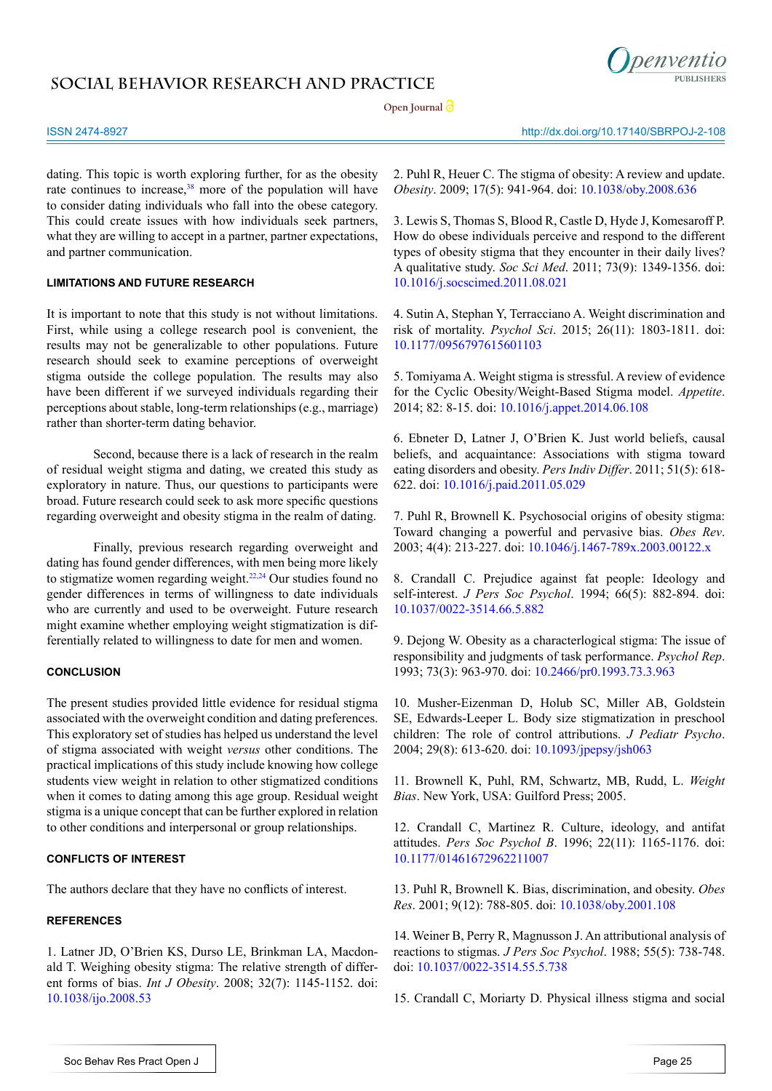

**Open Journal**

ISSN 2474-8927 http://dx.doi.org/10.17140/SBRPOJ-2-108

dating. This topic is worth exploring further, for as the obesity rate continues to increase,<sup>38</sup> more of the population will have to consider dating individuals who fall into the obese category. This could create issues with how individuals seek partners, what they are willing to accept in a partner, partner expectations, and partner communication.

### **LIMITATIONS AND FUTURE RESEARCH**

It is important to note that this study is not without limitations. First, while using a college research pool is convenient, the results may not be generalizable to other populations. Future research should seek to examine perceptions of overweight stigma outside the college population. The results may also have been different if we surveyed individuals regarding their perceptions about stable, long-term relationships (e.g., marriage) rather than shorter-term dating behavior.

Second, because there is a lack of research in the realm of residual weight stigma and dating, we created this study as exploratory in nature. Thus, our questions to participants were broad. Future research could seek to ask more specific questions regarding overweight and obesity stigma in the realm of dating.

Finally, previous research regarding overweight and dating has found gender differences, with men being more likely to stigmatize women regarding weight.<sup>22,24</sup> Our studies found no gender differences in terms of willingness to date individuals who are currently and used to be overweight. Future research might examine whether employing weight stigmatization is differentially related to willingness to date for men and women.

#### **CONCLUSION**

The present studies provided little evidence for residual stigma associated with the overweight condition and dating preferences. This exploratory set of studies has helped us understand the level of stigma associated with weight *versus* other conditions. The practical implications of this study include knowing how college students view weight in relation to other stigmatized conditions when it comes to dating among this age group. Residual weight stigma is a unique concept that can be further explored in relation to other conditions and interpersonal or group relationships.

### **CONFLICTS OF INTEREST**

The authors declare that they have no conflicts of interest.

### **REFERENCES**

<span id="page-7-0"></span>1. Latner JD, O'Brien KS, Durso LE, Brinkman LA, Macdonald T. Weighing obesity stigma: The relative strength of different forms of bias. *Int J Obesity*. 2008; 32(7): 1145-1152. doi: [10.1038/ijo.2008.53](http://www.nature.com/ijo/journal/v32/n7/abs/ijo200853a.html)

<span id="page-7-7"></span>2. Puhl R, Heuer C. The stigma of obesity: A review and update. *Obesity*. 2009; 17(5): 941-964. doi: [10.1038/oby.2008.636](http://onlinelibrary.wiley.com/doi/10.1038/oby.2008.636/full)

<span id="page-7-1"></span>3. Lewis S, Thomas S, Blood R, Castle D, Hyde J, Komesaroff P. How do obese individuals perceive and respond to the different types of obesity stigma that they encounter in their daily lives? A qualitative study. *Soc Sci Med*. 2011; 73(9): 1349-1356. doi: [10.1016/j.socscimed.2011.08.021](http://www.sciencedirect.com/science/article/pii/S0277953611005284)

4. Sutin A, Stephan Y, Terracciano A. Weight discrimination and risk of mortality. *Psychol Sci*. 2015; 26(11): 1803-1811. doi: [10.1177/0956797615601103](http://journals.sagepub.com/doi/abs/10.1177/0956797615601103)

5. Tomiyama A. Weight stigma is stressful. A review of evidence for the Cyclic Obesity/Weight-Based Stigma model. *Appetite*. 2014; 82: 8-15. doi: [10.1016/j.appet.2014.06.108](http://www.sciencedirect.com/science/article/pii/S0195666314003560)

<span id="page-7-2"></span>6. Ebneter D, Latner J, O'Brien K. Just world beliefs, causal beliefs, and acquaintance: Associations with stigma toward eating disorders and obesity. *Pers Indiv Differ*. 2011; 51(5): 618- 622. doi: [10.1016/j.paid.2011.05.029](http://www.sciencedirect.com/science/article/pii/S0191886911002595)

7. Puhl R, Brownell K. Psychosocial origins of obesity stigma: Toward changing a powerful and pervasive bias. *Obes Rev*. 2003; 4(4): 213-227. doi: [10.1046/j.1467-789x.2003.00122.x](http://onlinelibrary.wiley.com/doi/10.1046/j.1467-789X.2003.00122.x/full)

<span id="page-7-3"></span>8. Crandall C. Prejudice against fat people: Ideology and self-interest. *J Pers Soc Psychol*. 1994; 66(5): 882-894. doi: [10.1037/0022-3514.66.5.882](http://psycnet.apa.org/journals/psp/66/5/882/)

9. Dejong W. Obesity as a characterlogical stigma: The issue of responsibility and judgments of task performance. *Psychol Rep*. 1993; 73(3): 963-970. doi: [10.2466/pr0.1993.73.3.963](http://psycnet.apa.org/psycinfo/1994-21928-001)

<span id="page-7-8"></span>10. Musher-Eizenman D, Holub SC, Miller AB, Goldstein SE, Edwards-Leeper L. Body size stigmatization in preschool children: The role of control attributions. *J Pediatr Psycho*. 2004; 29(8): 613-620. doi: [10.1093/jpepsy/jsh063](https://academic.oup.com/jpepsy/article/29/8/613/966811/Body-Size-Stigmatization-in-Preschool-Children-The)

<span id="page-7-4"></span>11. Brownell K, Puhl, RM, Schwartz, MB, Rudd, L. *Weight Bias*. New York, USA: Guilford Press; 2005.

12. Crandall C, Martinez R. Culture, ideology, and antifat attitudes. *Pers Soc Psychol B*. 1996; 22(11): 1165-1176. doi: [10.1177/01461672962211007](http://journals.sagepub.com/doi/abs/10.1177/01461672962211007)

13. Puhl R, Brownell K. Bias, discrimination, and obesity. *Obes Res*. 2001; 9(12): 788-805. doi: [10.1038/oby.2001.108](http://onlinelibrary.wiley.com/doi/10.1038/oby.2001.108/full)

<span id="page-7-5"></span>14. Weiner B, Perry R, Magnusson J. An attributional analysis of reactions to stigmas. *J Pers Soc Psychol*. 1988; 55(5): 738-748. doi: [10.1037/0022-3514.55.5.738](http://psycnet.apa.org/journals/psp/55/5/738/)

<span id="page-7-6"></span>15. Crandall C, Moriarty D. Physical illness stigma and social